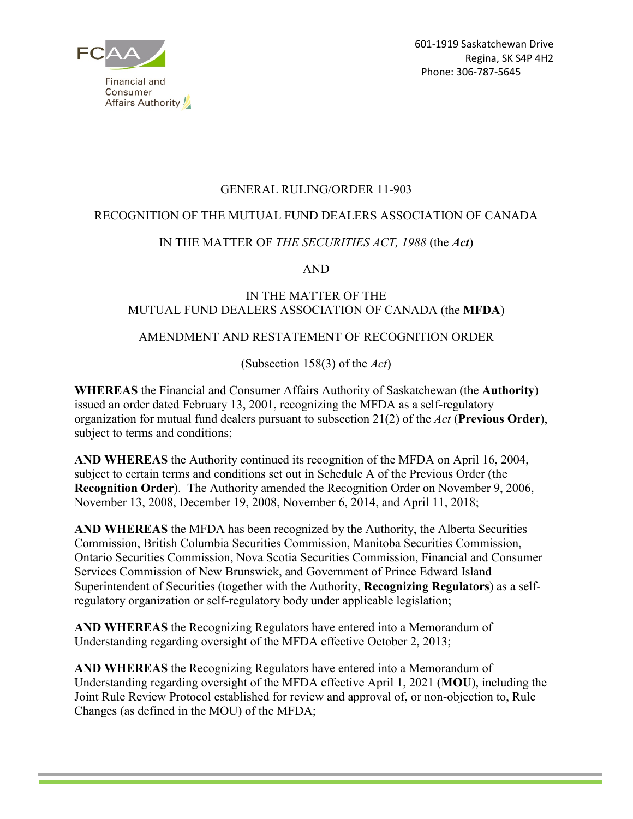

# GENERAL RULING/ORDER 11-903

# RECOGNITION OF THE MUTUAL FUND DEALERS ASSOCIATION OF CANADA

# IN THE MATTER OF *THE SECURITIES ACT, 1988* (the *Act*)

AND

### IN THE MATTER OF THE MUTUAL FUND DEALERS ASSOCIATION OF CANADA (the **MFDA**)

# AMENDMENT AND RESTATEMENT OF RECOGNITION ORDER

(Subsection 158(3) of the *Act*)

**WHEREAS** the Financial and Consumer Affairs Authority of Saskatchewan (the **Authority**) issued an order dated February 13, 2001, recognizing the MFDA as a self-regulatory organization for mutual fund dealers pursuant to subsection 21(2) of the *Act* (**Previous Order**), subject to terms and conditions;

**AND WHEREAS** the Authority continued its recognition of the MFDA on April 16, 2004, subject to certain terms and conditions set out in Schedule A of the Previous Order (the **Recognition Order**). The Authority amended the Recognition Order on November 9, 2006, November 13, 2008, December 19, 2008, November 6, 2014, and April 11, 2018;

**AND WHEREAS** the MFDA has been recognized by the Authority, the Alberta Securities Commission, British Columbia Securities Commission, Manitoba Securities Commission, Ontario Securities Commission, Nova Scotia Securities Commission, Financial and Consumer Services Commission of New Brunswick, and Government of Prince Edward Island Superintendent of Securities (together with the Authority, **Recognizing Regulators**) as a selfregulatory organization or self-regulatory body under applicable legislation;

**AND WHEREAS** the Recognizing Regulators have entered into a Memorandum of Understanding regarding oversight of the MFDA effective October 2, 2013;

**AND WHEREAS** the Recognizing Regulators have entered into a Memorandum of Understanding regarding oversight of the MFDA effective April 1, 2021 (**MOU**), including the Joint Rule Review Protocol established for review and approval of, or non-objection to, Rule Changes (as defined in the MOU) of the MFDA;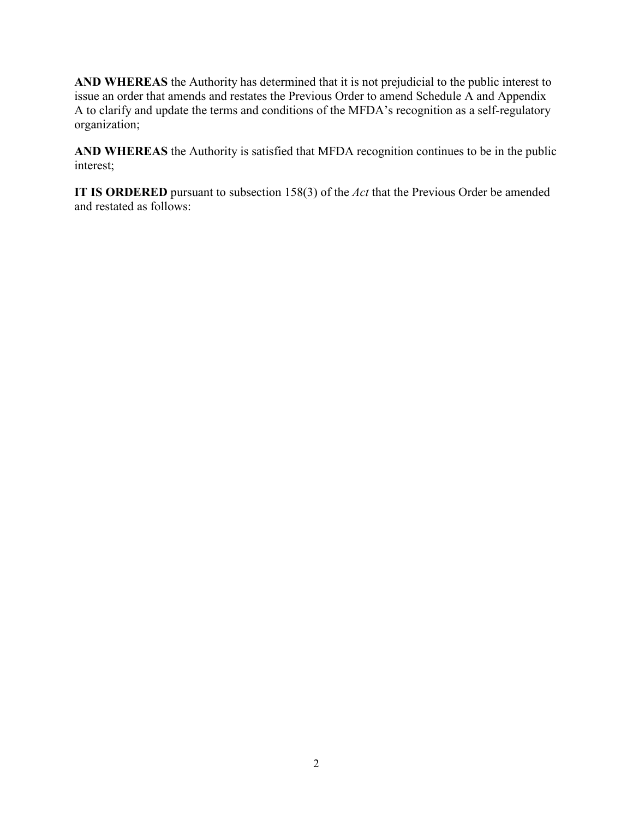**AND WHEREAS** the Authority has determined that it is not prejudicial to the public interest to issue an order that amends and restates the Previous Order to amend Schedule A and Appendix A to clarify and update the terms and conditions of the MFDA's recognition as a self-regulatory organization;

**AND WHEREAS** the Authority is satisfied that MFDA recognition continues to be in the public interest;

**IT IS ORDERED** pursuant to subsection 158(3) of the *Act* that the Previous Order be amended and restated as follows: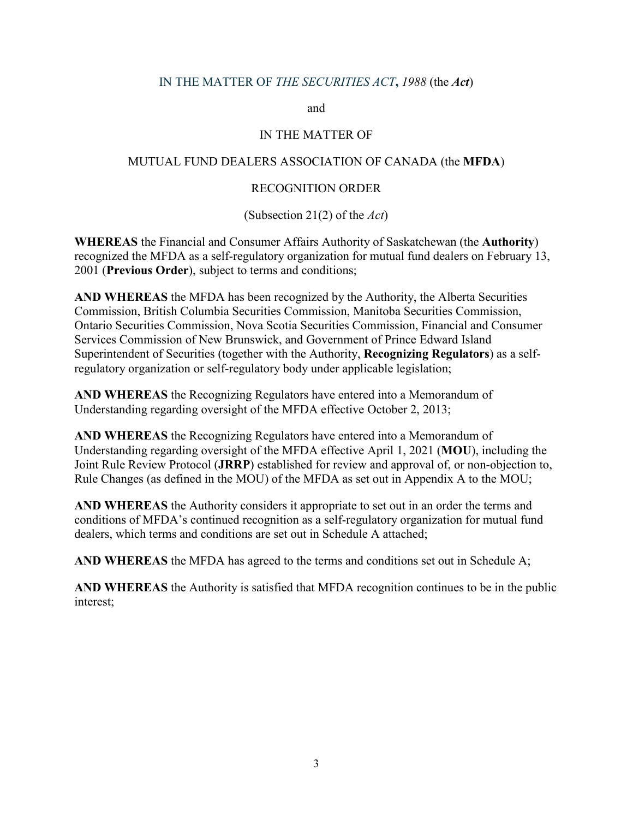### IN THE MATTER OF *THE SECURITIES ACT***,** *1988* (the *Act*)

and

#### IN THE MATTER OF

#### MUTUAL FUND DEALERS ASSOCIATION OF CANADA (the **MFDA**)

### RECOGNITION ORDER

(Subsection 21(2) of the *Act*)

**WHEREAS** the Financial and Consumer Affairs Authority of Saskatchewan (the **Authority**) recognized the MFDA as a self-regulatory organization for mutual fund dealers on February 13, 2001 (**Previous Order**), subject to terms and conditions;

**AND WHEREAS** the MFDA has been recognized by the Authority, the Alberta Securities Commission, British Columbia Securities Commission, Manitoba Securities Commission, Ontario Securities Commission, Nova Scotia Securities Commission, Financial and Consumer Services Commission of New Brunswick, and Government of Prince Edward Island Superintendent of Securities (together with the Authority, **Recognizing Regulators**) as a selfregulatory organization or self-regulatory body under applicable legislation;

**AND WHEREAS** the Recognizing Regulators have entered into a Memorandum of Understanding regarding oversight of the MFDA effective October 2, 2013;

**AND WHEREAS** the Recognizing Regulators have entered into a Memorandum of Understanding regarding oversight of the MFDA effective April 1, 2021 (**MOU**), including the Joint Rule Review Protocol (**JRRP**) established for review and approval of, or non-objection to, Rule Changes (as defined in the MOU) of the MFDA as set out in Appendix A to the MOU;

**AND WHEREAS** the Authority considers it appropriate to set out in an order the terms and conditions of MFDA's continued recognition as a self-regulatory organization for mutual fund dealers, which terms and conditions are set out in Schedule A attached;

**AND WHEREAS** the MFDA has agreed to the terms and conditions set out in Schedule A;

**AND WHEREAS** the Authority is satisfied that MFDA recognition continues to be in the public interest;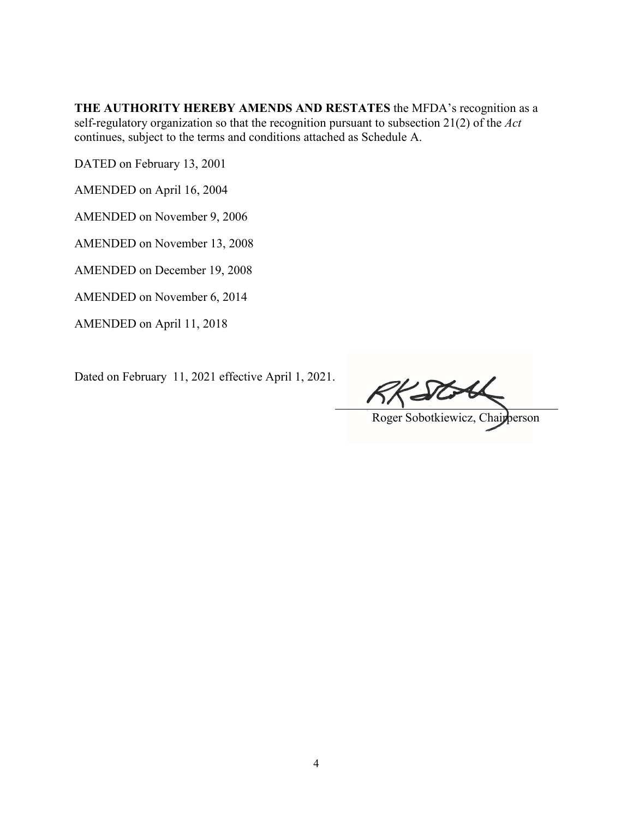**THE AUTHORITY HEREBY AMENDS AND RESTATES** the MFDA's recognition as a self-regulatory organization so that the recognition pursuant to subsection 21(2) of the *Act* continues, subject to the terms and conditions attached as Schedule A.

DATED on February 13, 2001

AMENDED on April 16, 2004

AMENDED on November 9, 2006

AMENDED on November 13, 2008

AMENDED on December 19, 2008

AMENDED on November 6, 2014

AMENDED on April 11, 2018

Dated on February 11, 2021 effective April 1, 2021.

Roger Sobotkiewicz, Chairperson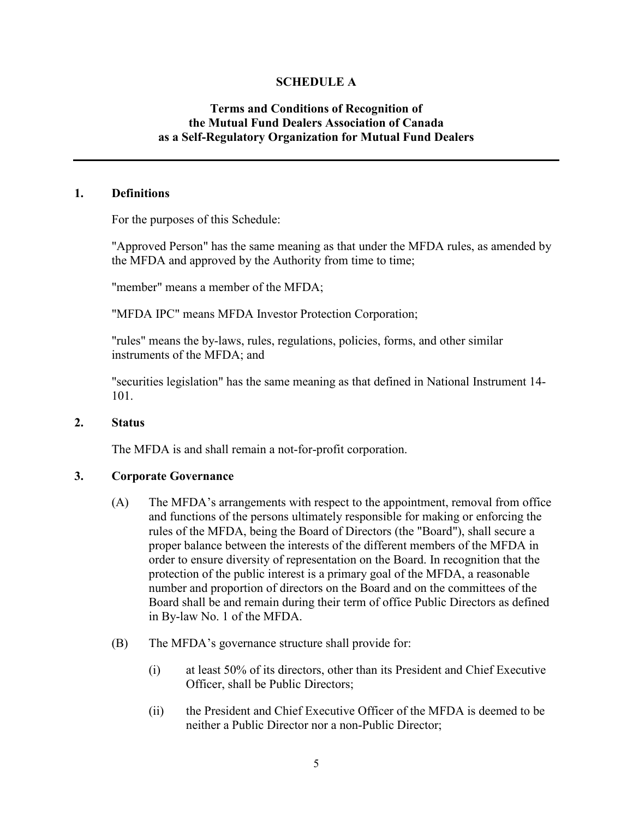### **SCHEDULE A**

### **Terms and Conditions of Recognition of the Mutual Fund Dealers Association of Canada as a Self-Regulatory Organization for Mutual Fund Dealers**

#### **1. Definitions**

For the purposes of this Schedule:

"Approved Person" has the same meaning as that under the MFDA rules, as amended by the MFDA and approved by the Authority from time to time;

"member" means a member of the MFDA;

"MFDA IPC" means MFDA Investor Protection Corporation;

"rules" means the by-laws, rules, regulations, policies, forms, and other similar instruments of the MFDA; and

"securities legislation" has the same meaning as that defined in National Instrument 14- 101.

#### **2. Status**

The MFDA is and shall remain a not-for-profit corporation.

### **3. Corporate Governance**

- (A) The MFDA's arrangements with respect to the appointment, removal from office and functions of the persons ultimately responsible for making or enforcing the rules of the MFDA, being the Board of Directors (the "Board"), shall secure a proper balance between the interests of the different members of the MFDA in order to ensure diversity of representation on the Board. In recognition that the protection of the public interest is a primary goal of the MFDA, a reasonable number and proportion of directors on the Board and on the committees of the Board shall be and remain during their term of office Public Directors as defined in By-law No. 1 of the MFDA.
- (B) The MFDA's governance structure shall provide for:
	- (i) at least 50% of its directors, other than its President and Chief Executive Officer, shall be Public Directors;
	- (ii) the President and Chief Executive Officer of the MFDA is deemed to be neither a Public Director nor a non-Public Director;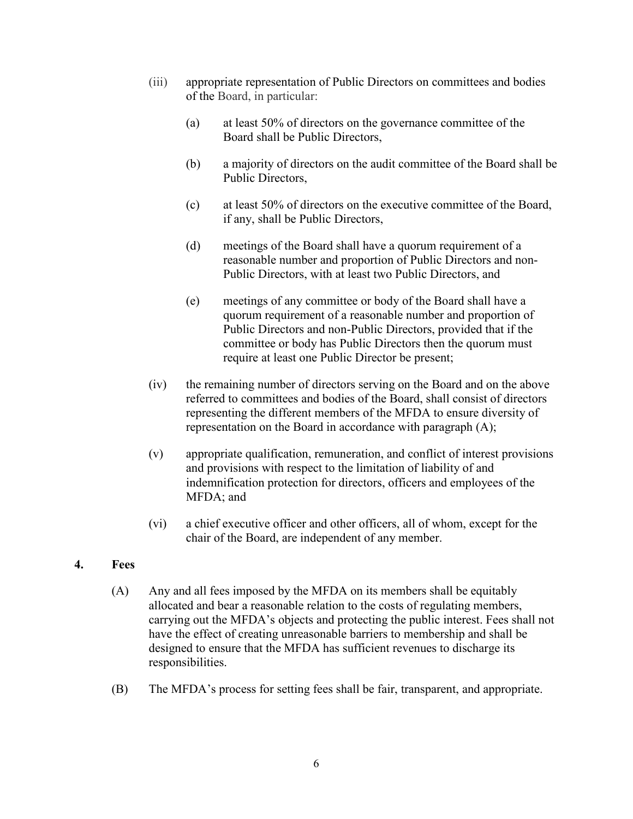- (iii) appropriate representation of Public Directors on committees and bodies of the Board, in particular:
	- (a) at least 50% of directors on the governance committee of the Board shall be Public Directors,
	- (b) a majority of directors on the audit committee of the Board shall be Public Directors,
	- (c) at least 50% of directors on the executive committee of the Board, if any, shall be Public Directors,
	- (d) meetings of the Board shall have a quorum requirement of a reasonable number and proportion of Public Directors and non-Public Directors, with at least two Public Directors, and
	- (e) meetings of any committee or body of the Board shall have a quorum requirement of a reasonable number and proportion of Public Directors and non-Public Directors, provided that if the committee or body has Public Directors then the quorum must require at least one Public Director be present;
- (iv) the remaining number of directors serving on the Board and on the above referred to committees and bodies of the Board, shall consist of directors representing the different members of the MFDA to ensure diversity of representation on the Board in accordance with paragraph (A);
- (v) appropriate qualification, remuneration, and conflict of interest provisions and provisions with respect to the limitation of liability of and indemnification protection for directors, officers and employees of the MFDA; and
- (vi) a chief executive officer and other officers, all of whom, except for the chair of the Board, are independent of any member.

# **4. Fees**

- (A) Any and all fees imposed by the MFDA on its members shall be equitably allocated and bear a reasonable relation to the costs of regulating members, carrying out the MFDA's objects and protecting the public interest. Fees shall not have the effect of creating unreasonable barriers to membership and shall be designed to ensure that the MFDA has sufficient revenues to discharge its responsibilities.
- (B) The MFDA's process for setting fees shall be fair, transparent, and appropriate.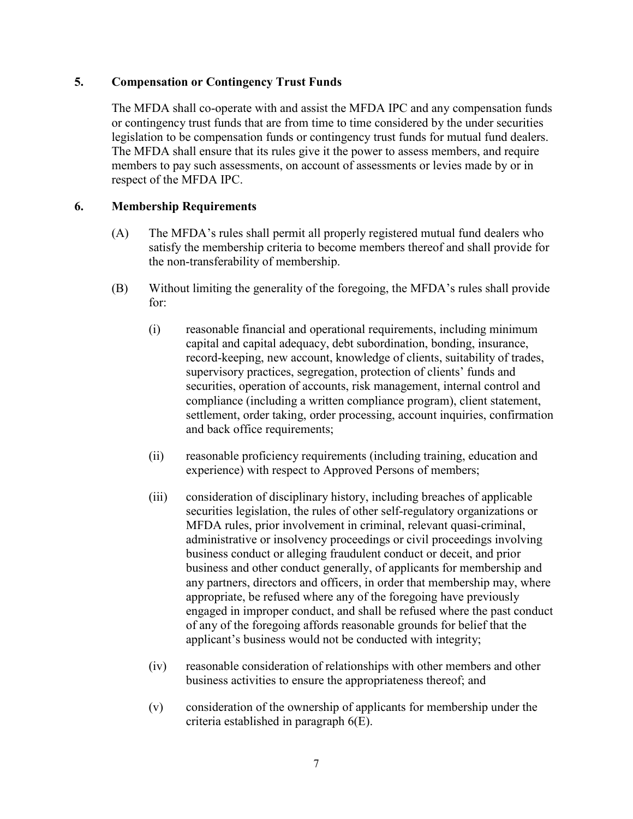### **5. Compensation or Contingency Trust Funds**

The MFDA shall co-operate with and assist the MFDA IPC and any compensation funds or contingency trust funds that are from time to time considered by the under securities legislation to be compensation funds or contingency trust funds for mutual fund dealers. The MFDA shall ensure that its rules give it the power to assess members, and require members to pay such assessments, on account of assessments or levies made by or in respect of the MFDA IPC.

### **6. Membership Requirements**

- (A) The MFDA's rules shall permit all properly registered mutual fund dealers who satisfy the membership criteria to become members thereof and shall provide for the non-transferability of membership.
- (B) Without limiting the generality of the foregoing, the MFDA's rules shall provide for:
	- (i) reasonable financial and operational requirements, including minimum capital and capital adequacy, debt subordination, bonding, insurance, record-keeping, new account, knowledge of clients, suitability of trades, supervisory practices, segregation, protection of clients' funds and securities, operation of accounts, risk management, internal control and compliance (including a written compliance program), client statement, settlement, order taking, order processing, account inquiries, confirmation and back office requirements;
	- (ii) reasonable proficiency requirements (including training, education and experience) with respect to Approved Persons of members;
	- (iii) consideration of disciplinary history, including breaches of applicable securities legislation, the rules of other self-regulatory organizations or MFDA rules, prior involvement in criminal, relevant quasi-criminal, administrative or insolvency proceedings or civil proceedings involving business conduct or alleging fraudulent conduct or deceit, and prior business and other conduct generally, of applicants for membership and any partners, directors and officers, in order that membership may, where appropriate, be refused where any of the foregoing have previously engaged in improper conduct, and shall be refused where the past conduct of any of the foregoing affords reasonable grounds for belief that the applicant's business would not be conducted with integrity;
	- (iv) reasonable consideration of relationships with other members and other business activities to ensure the appropriateness thereof; and
	- (v) consideration of the ownership of applicants for membership under the criteria established in paragraph 6(E).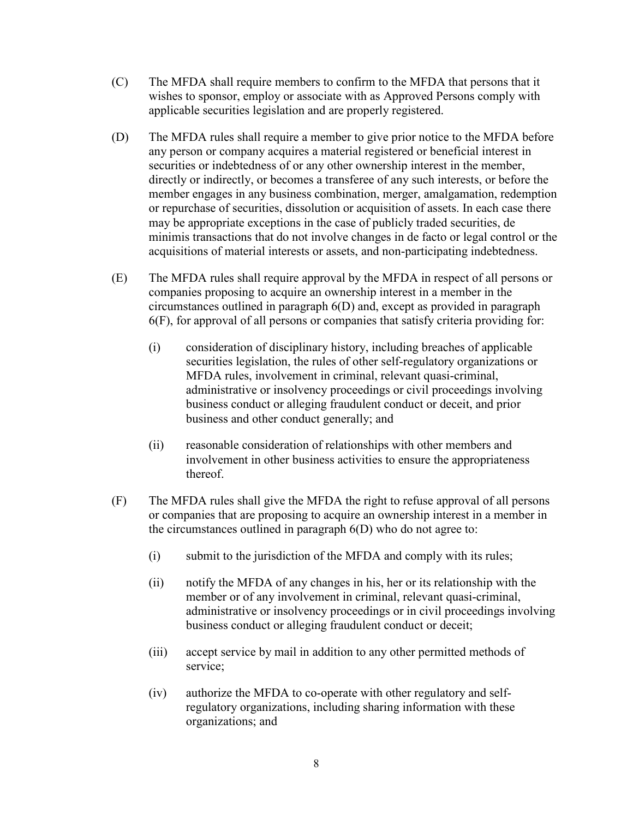- (C) The MFDA shall require members to confirm to the MFDA that persons that it wishes to sponsor, employ or associate with as Approved Persons comply with applicable securities legislation and are properly registered.
- (D) The MFDA rules shall require a member to give prior notice to the MFDA before any person or company acquires a material registered or beneficial interest in securities or indebtedness of or any other ownership interest in the member, directly or indirectly, or becomes a transferee of any such interests, or before the member engages in any business combination, merger, amalgamation, redemption or repurchase of securities, dissolution or acquisition of assets. In each case there may be appropriate exceptions in the case of publicly traded securities, de minimis transactions that do not involve changes in de facto or legal control or the acquisitions of material interests or assets, and non-participating indebtedness.
- (E) The MFDA rules shall require approval by the MFDA in respect of all persons or companies proposing to acquire an ownership interest in a member in the circumstances outlined in paragraph 6(D) and, except as provided in paragraph 6(F), for approval of all persons or companies that satisfy criteria providing for:
	- (i) consideration of disciplinary history, including breaches of applicable securities legislation, the rules of other self-regulatory organizations or MFDA rules, involvement in criminal, relevant quasi-criminal, administrative or insolvency proceedings or civil proceedings involving business conduct or alleging fraudulent conduct or deceit, and prior business and other conduct generally; and
	- (ii) reasonable consideration of relationships with other members and involvement in other business activities to ensure the appropriateness thereof.
- (F) The MFDA rules shall give the MFDA the right to refuse approval of all persons or companies that are proposing to acquire an ownership interest in a member in the circumstances outlined in paragraph 6(D) who do not agree to:
	- (i) submit to the jurisdiction of the MFDA and comply with its rules;
	- (ii) notify the MFDA of any changes in his, her or its relationship with the member or of any involvement in criminal, relevant quasi-criminal, administrative or insolvency proceedings or in civil proceedings involving business conduct or alleging fraudulent conduct or deceit;
	- (iii) accept service by mail in addition to any other permitted methods of service;
	- (iv) authorize the MFDA to co-operate with other regulatory and selfregulatory organizations, including sharing information with these organizations; and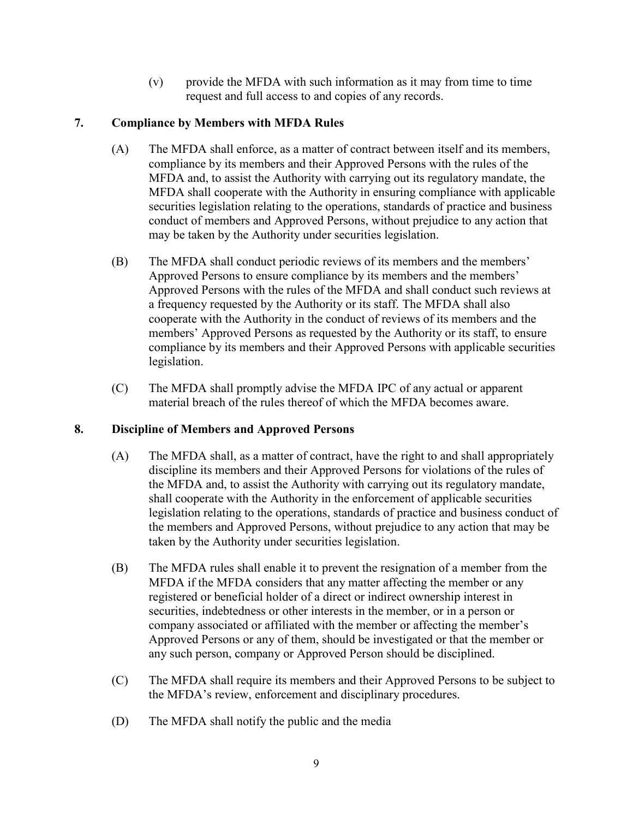(v) provide the MFDA with such information as it may from time to time request and full access to and copies of any records.

# **7. Compliance by Members with MFDA Rules**

- (A) The MFDA shall enforce, as a matter of contract between itself and its members, compliance by its members and their Approved Persons with the rules of the MFDA and, to assist the Authority with carrying out its regulatory mandate, the MFDA shall cooperate with the Authority in ensuring compliance with applicable securities legislation relating to the operations, standards of practice and business conduct of members and Approved Persons, without prejudice to any action that may be taken by the Authority under securities legislation.
- (B) The MFDA shall conduct periodic reviews of its members and the members' Approved Persons to ensure compliance by its members and the members' Approved Persons with the rules of the MFDA and shall conduct such reviews at a frequency requested by the Authority or its staff. The MFDA shall also cooperate with the Authority in the conduct of reviews of its members and the members' Approved Persons as requested by the Authority or its staff, to ensure compliance by its members and their Approved Persons with applicable securities legislation.
- (C) The MFDA shall promptly advise the MFDA IPC of any actual or apparent material breach of the rules thereof of which the MFDA becomes aware.

# **8. Discipline of Members and Approved Persons**

- (A) The MFDA shall, as a matter of contract, have the right to and shall appropriately discipline its members and their Approved Persons for violations of the rules of the MFDA and, to assist the Authority with carrying out its regulatory mandate, shall cooperate with the Authority in the enforcement of applicable securities legislation relating to the operations, standards of practice and business conduct of the members and Approved Persons, without prejudice to any action that may be taken by the Authority under securities legislation.
- (B) The MFDA rules shall enable it to prevent the resignation of a member from the MFDA if the MFDA considers that any matter affecting the member or any registered or beneficial holder of a direct or indirect ownership interest in securities, indebtedness or other interests in the member, or in a person or company associated or affiliated with the member or affecting the member's Approved Persons or any of them, should be investigated or that the member or any such person, company or Approved Person should be disciplined.
- (C) The MFDA shall require its members and their Approved Persons to be subject to the MFDA's review, enforcement and disciplinary procedures.
- (D) The MFDA shall notify the public and the media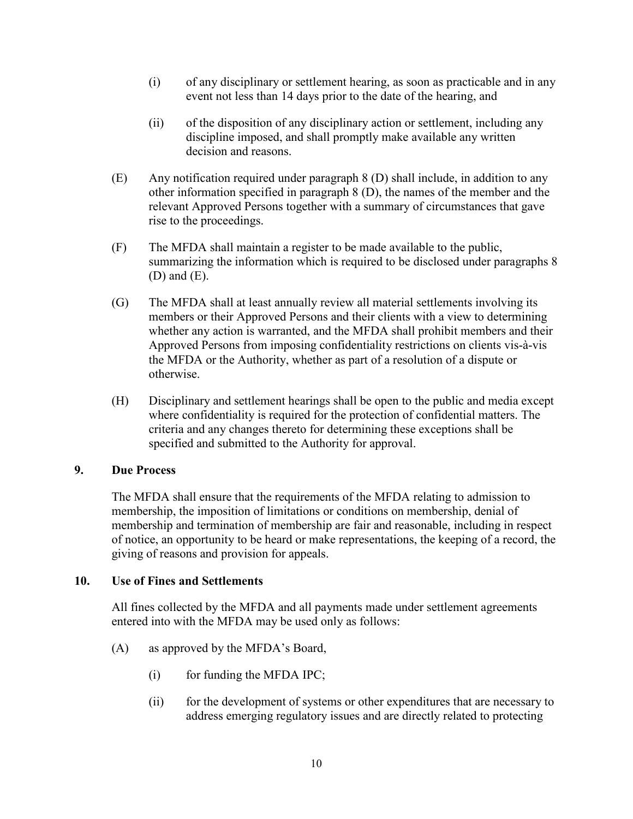- (i) of any disciplinary or settlement hearing, as soon as practicable and in any event not less than 14 days prior to the date of the hearing, and
- (ii) of the disposition of any disciplinary action or settlement, including any discipline imposed, and shall promptly make available any written decision and reasons.
- (E) Any notification required under paragraph 8 (D) shall include, in addition to any other information specified in paragraph 8 (D), the names of the member and the relevant Approved Persons together with a summary of circumstances that gave rise to the proceedings.
- (F) The MFDA shall maintain a register to be made available to the public, summarizing the information which is required to be disclosed under paragraphs 8 (D) and (E).
- (G) The MFDA shall at least annually review all material settlements involving its members or their Approved Persons and their clients with a view to determining whether any action is warranted, and the MFDA shall prohibit members and their Approved Persons from imposing confidentiality restrictions on clients vis-à-vis the MFDA or the Authority, whether as part of a resolution of a dispute or otherwise.
- (H) Disciplinary and settlement hearings shall be open to the public and media except where confidentiality is required for the protection of confidential matters. The criteria and any changes thereto for determining these exceptions shall be specified and submitted to the Authority for approval.

### **9. Due Process**

The MFDA shall ensure that the requirements of the MFDA relating to admission to membership, the imposition of limitations or conditions on membership, denial of membership and termination of membership are fair and reasonable, including in respect of notice, an opportunity to be heard or make representations, the keeping of a record, the giving of reasons and provision for appeals.

### **10. Use of Fines and Settlements**

All fines collected by the MFDA and all payments made under settlement agreements entered into with the MFDA may be used only as follows:

- (A) as approved by the MFDA's Board,
	- $(i)$  for funding the MFDA IPC;
	- (ii) for the development of systems or other expenditures that are necessary to address emerging regulatory issues and are directly related to protecting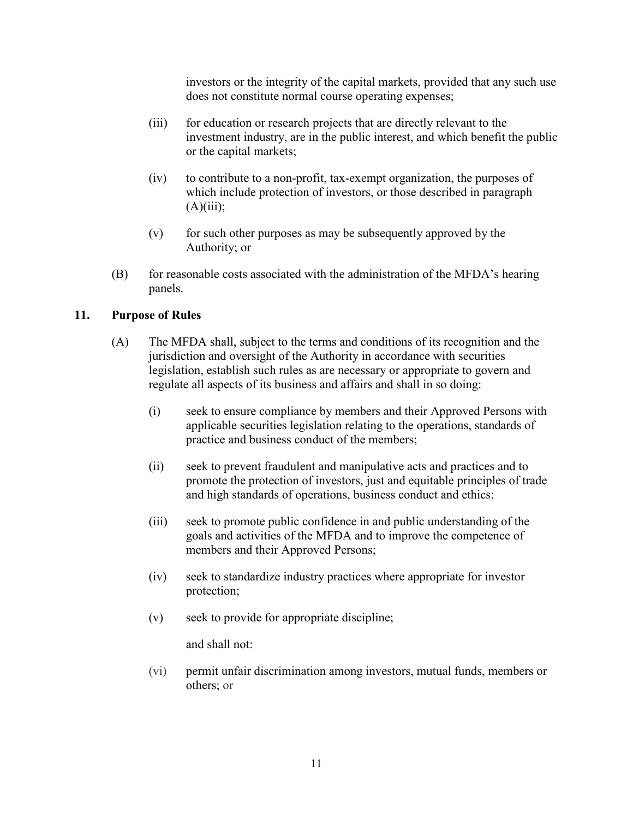investors or the integrity of the capital markets, provided that any such use does not constitute normal course operating expenses;

- (iii) for education or research projects that are directly relevant to the investment industry, are in the public interest, and which benefit the public or the capital markets;
- (iv) to contribute to a non-profit, tax-exempt organization, the purposes of which include protection of investors, or those described in paragraph  $(A)(iii)$ ;
- (v) for such other purposes as may be subsequently approved by the Authority; or
- (B) for reasonable costs associated with the administration of the MFDA's hearing panels.

### **11. Purpose of Rules**

- (A) The MFDA shall, subject to the terms and conditions of its recognition and the jurisdiction and oversight of the Authority in accordance with securities legislation, establish such rules as are necessary or appropriate to govern and regulate all aspects of its business and affairs and shall in so doing:
	- (i) seek to ensure compliance by members and their Approved Persons with applicable securities legislation relating to the operations, standards of practice and business conduct of the members;
	- (ii) seek to prevent fraudulent and manipulative acts and practices and to promote the protection of investors, just and equitable principles of trade and high standards of operations, business conduct and ethics;
	- (iii) seek to promote public confidence in and public understanding of the goals and activities of the MFDA and to improve the competence of members and their Approved Persons;
	- (iv) seek to standardize industry practices where appropriate for investor protection;
	- (v) seek to provide for appropriate discipline;

and shall not:

(vi) permit unfair discrimination among investors, mutual funds, members or others; or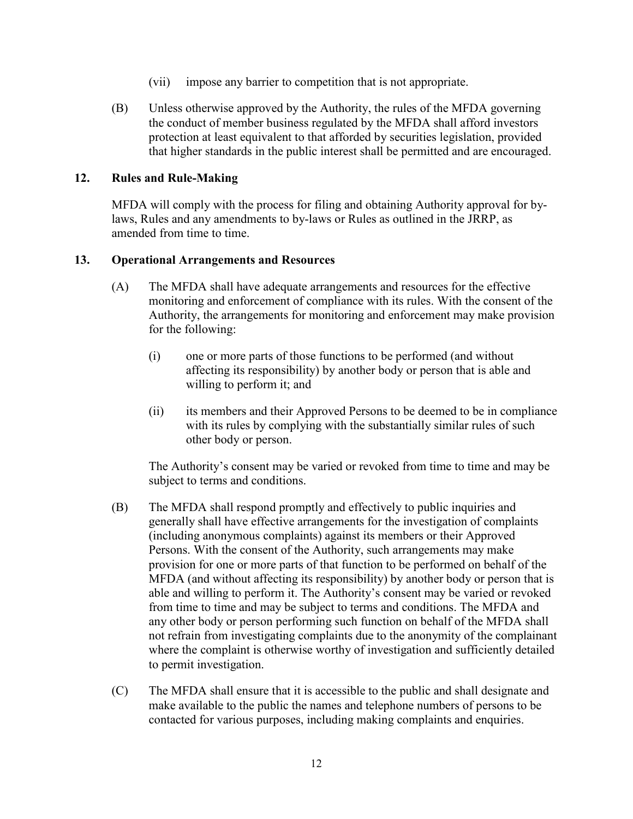- (vii) impose any barrier to competition that is not appropriate.
- (B) Unless otherwise approved by the Authority, the rules of the MFDA governing the conduct of member business regulated by the MFDA shall afford investors protection at least equivalent to that afforded by securities legislation, provided that higher standards in the public interest shall be permitted and are encouraged.

### **12. Rules and Rule-Making**

MFDA will comply with the process for filing and obtaining Authority approval for bylaws, Rules and any amendments to by-laws or Rules as outlined in the JRRP, as amended from time to time.

### **13. Operational Arrangements and Resources**

- (A) The MFDA shall have adequate arrangements and resources for the effective monitoring and enforcement of compliance with its rules. With the consent of the Authority, the arrangements for monitoring and enforcement may make provision for the following:
	- (i) one or more parts of those functions to be performed (and without affecting its responsibility) by another body or person that is able and willing to perform it; and
	- (ii) its members and their Approved Persons to be deemed to be in compliance with its rules by complying with the substantially similar rules of such other body or person.

The Authority's consent may be varied or revoked from time to time and may be subject to terms and conditions.

- (B) The MFDA shall respond promptly and effectively to public inquiries and generally shall have effective arrangements for the investigation of complaints (including anonymous complaints) against its members or their Approved Persons. With the consent of the Authority, such arrangements may make provision for one or more parts of that function to be performed on behalf of the MFDA (and without affecting its responsibility) by another body or person that is able and willing to perform it. The Authority's consent may be varied or revoked from time to time and may be subject to terms and conditions. The MFDA and any other body or person performing such function on behalf of the MFDA shall not refrain from investigating complaints due to the anonymity of the complainant where the complaint is otherwise worthy of investigation and sufficiently detailed to permit investigation.
- (C) The MFDA shall ensure that it is accessible to the public and shall designate and make available to the public the names and telephone numbers of persons to be contacted for various purposes, including making complaints and enquiries.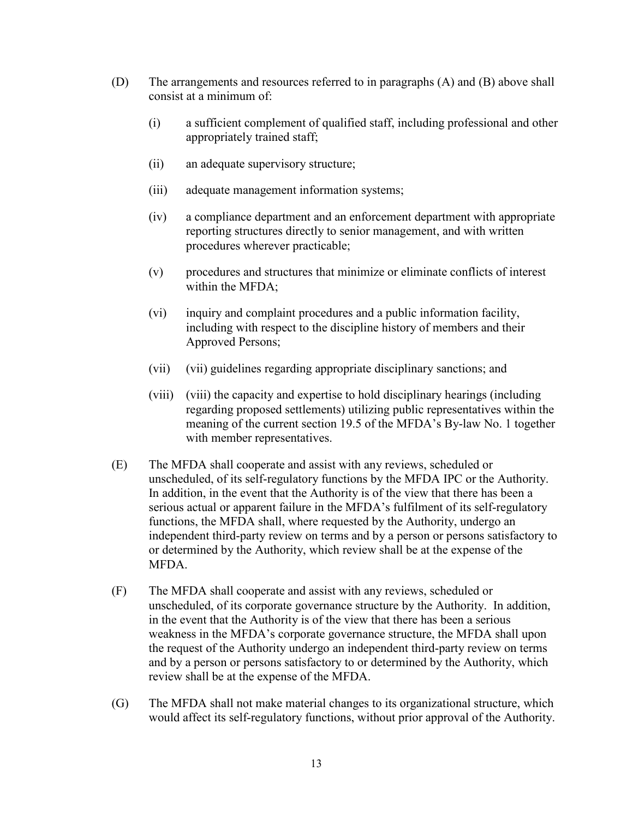- (D) The arrangements and resources referred to in paragraphs (A) and (B) above shall consist at a minimum of:
	- (i) a sufficient complement of qualified staff, including professional and other appropriately trained staff;
	- (ii) an adequate supervisory structure;
	- (iii) adequate management information systems;
	- (iv) a compliance department and an enforcement department with appropriate reporting structures directly to senior management, and with written procedures wherever practicable;
	- (v) procedures and structures that minimize or eliminate conflicts of interest within the MFDA;
	- (vi) inquiry and complaint procedures and a public information facility, including with respect to the discipline history of members and their Approved Persons;
	- (vii) (vii) guidelines regarding appropriate disciplinary sanctions; and
	- (viii) (viii) the capacity and expertise to hold disciplinary hearings (including regarding proposed settlements) utilizing public representatives within the meaning of the current section 19.5 of the MFDA's By-law No. 1 together with member representatives.
- (E) The MFDA shall cooperate and assist with any reviews, scheduled or unscheduled, of its self-regulatory functions by the MFDA IPC or the Authority. In addition, in the event that the Authority is of the view that there has been a serious actual or apparent failure in the MFDA's fulfilment of its self-regulatory functions, the MFDA shall, where requested by the Authority, undergo an independent third-party review on terms and by a person or persons satisfactory to or determined by the Authority, which review shall be at the expense of the MFDA.
- (F) The MFDA shall cooperate and assist with any reviews, scheduled or unscheduled, of its corporate governance structure by the Authority. In addition, in the event that the Authority is of the view that there has been a serious weakness in the MFDA's corporate governance structure, the MFDA shall upon the request of the Authority undergo an independent third-party review on terms and by a person or persons satisfactory to or determined by the Authority, which review shall be at the expense of the MFDA.
- (G) The MFDA shall not make material changes to its organizational structure, which would affect its self-regulatory functions, without prior approval of the Authority.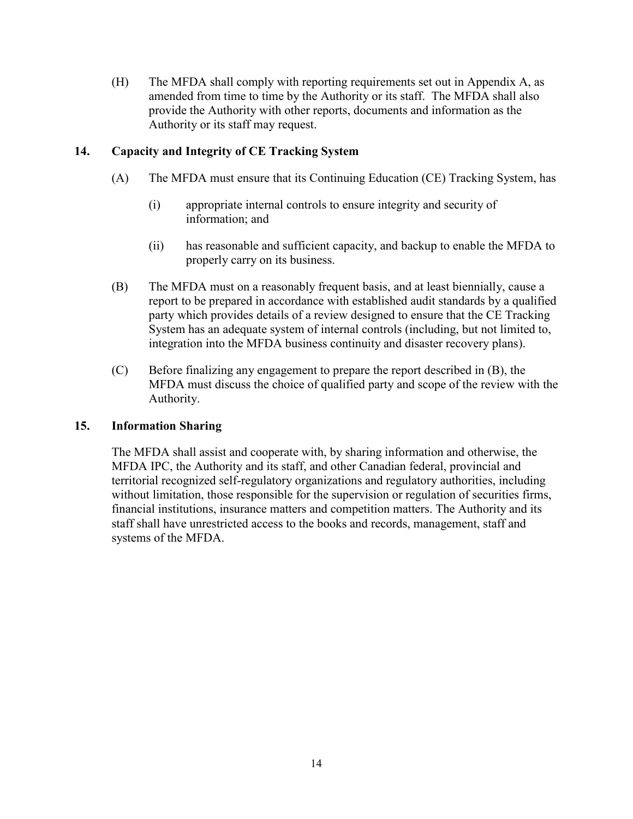(H) The MFDA shall comply with reporting requirements set out in Appendix A, as amended from time to time by the Authority or its staff. The MFDA shall also provide the Authority with other reports, documents and information as the Authority or its staff may request.

# **14. Capacity and Integrity of CE Tracking System**

- (A) The MFDA must ensure that its Continuing Education (CE) Tracking System, has
	- (i) appropriate internal controls to ensure integrity and security of information; and
	- (ii) has reasonable and sufficient capacity, and backup to enable the MFDA to properly carry on its business.
- (B) The MFDA must on a reasonably frequent basis, and at least biennially, cause a report to be prepared in accordance with established audit standards by a qualified party which provides details of a review designed to ensure that the CE Tracking System has an adequate system of internal controls (including, but not limited to, integration into the MFDA business continuity and disaster recovery plans).
- (C) Before finalizing any engagement to prepare the report described in (B), the MFDA must discuss the choice of qualified party and scope of the review with the Authority.

# **15. Information Sharing**

The MFDA shall assist and cooperate with, by sharing information and otherwise, the MFDA IPC, the Authority and its staff, and other Canadian federal, provincial and territorial recognized self-regulatory organizations and regulatory authorities, including without limitation, those responsible for the supervision or regulation of securities firms, financial institutions, insurance matters and competition matters. The Authority and its staff shall have unrestricted access to the books and records, management, staff and systems of the MFDA.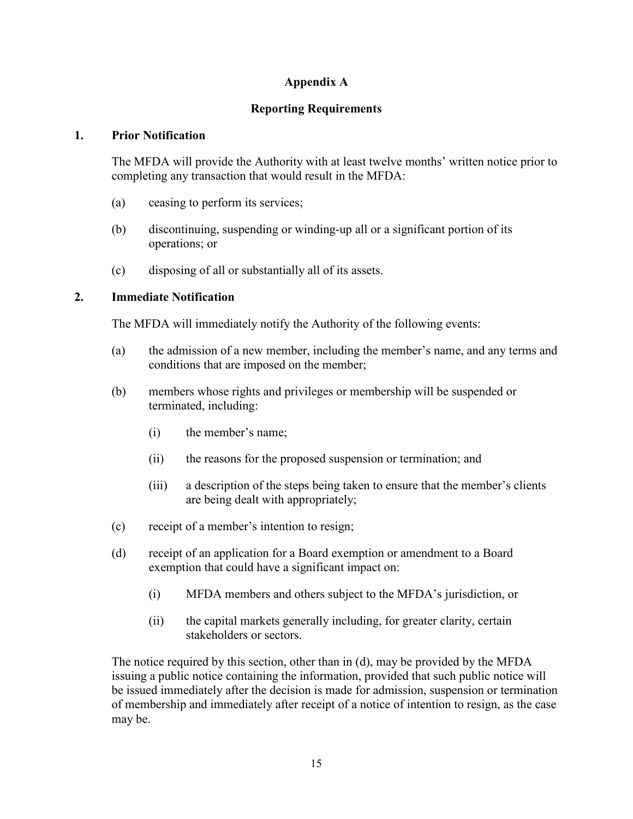# **Appendix A**

# **Reporting Requirements**

### **1. Prior Notification**

The MFDA will provide the Authority with at least twelve months' written notice prior to completing any transaction that would result in the MFDA:

- (a) ceasing to perform its services;
- (b) discontinuing, suspending or winding-up all or a significant portion of its operations; or
- (c) disposing of all or substantially all of its assets.

### **2. Immediate Notification**

The MFDA will immediately notify the Authority of the following events:

- (a) the admission of a new member, including the member's name, and any terms and conditions that are imposed on the member;
- (b) members whose rights and privileges or membership will be suspended or terminated, including:
	- (i) the member's name;
	- (ii) the reasons for the proposed suspension or termination; and
	- (iii) a description of the steps being taken to ensure that the member's clients are being dealt with appropriately;
- (c) receipt of a member's intention to resign;
- (d) receipt of an application for a Board exemption or amendment to a Board exemption that could have a significant impact on:
	- (i) MFDA members and others subject to the MFDA's jurisdiction, or
	- (ii) the capital markets generally including, for greater clarity, certain stakeholders or sectors.

The notice required by this section, other than in (d), may be provided by the MFDA issuing a public notice containing the information, provided that such public notice will be issued immediately after the decision is made for admission, suspension or termination of membership and immediately after receipt of a notice of intention to resign, as the case may be.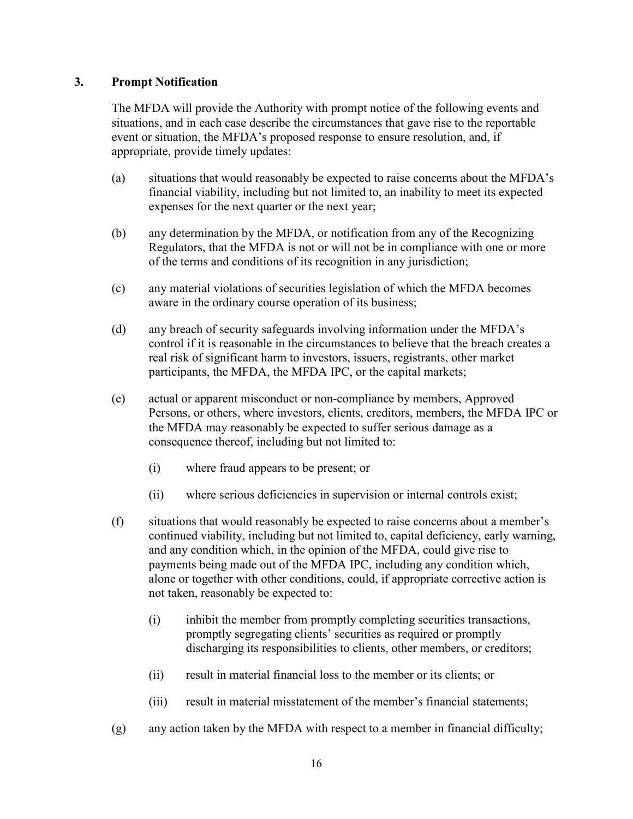### **3. Prompt Notification**

The MFDA will provide the Authority with prompt notice of the following events and situations, and in each case describe the circumstances that gave rise to the reportable event or situation, the MFDA's proposed response to ensure resolution, and, if appropriate, provide timely updates:

- (a) situations that would reasonably be expected to raise concerns about the MFDA's financial viability, including but not limited to, an inability to meet its expected expenses for the next quarter or the next year;
- (b) any determination by the MFDA, or notification from any of the Recognizing Regulators, that the MFDA is not or will not be in compliance with one or more of the terms and conditions of its recognition in any jurisdiction;
- (c) any material violations of securities legislation of which the MFDA becomes aware in the ordinary course operation of its business;
- (d) any breach of security safeguards involving information under the MFDA's control if it is reasonable in the circumstances to believe that the breach creates a real risk of significant harm to investors, issuers, registrants, other market participants, the MFDA, the MFDA IPC, or the capital markets;
- (e) actual or apparent misconduct or non-compliance by members, Approved Persons, or others, where investors, clients, creditors, members, the MFDA IPC or the MFDA may reasonably be expected to suffer serious damage as a consequence thereof, including but not limited to:
	- (i) where fraud appears to be present; or
	- (ii) where serious deficiencies in supervision or internal controls exist;
- (f) situations that would reasonably be expected to raise concerns about a member's continued viability, including but not limited to, capital deficiency, early warning, and any condition which, in the opinion of the MFDA, could give rise to payments being made out of the MFDA IPC, including any condition which, alone or together with other conditions, could, if appropriate corrective action is not taken, reasonably be expected to:
	- (i) inhibit the member from promptly completing securities transactions, promptly segregating clients' securities as required or promptly discharging its responsibilities to clients, other members, or creditors;
	- (ii) result in material financial loss to the member or its clients; or
	- (iii) result in material misstatement of the member's financial statements;
- (g) any action taken by the MFDA with respect to a member in financial difficulty;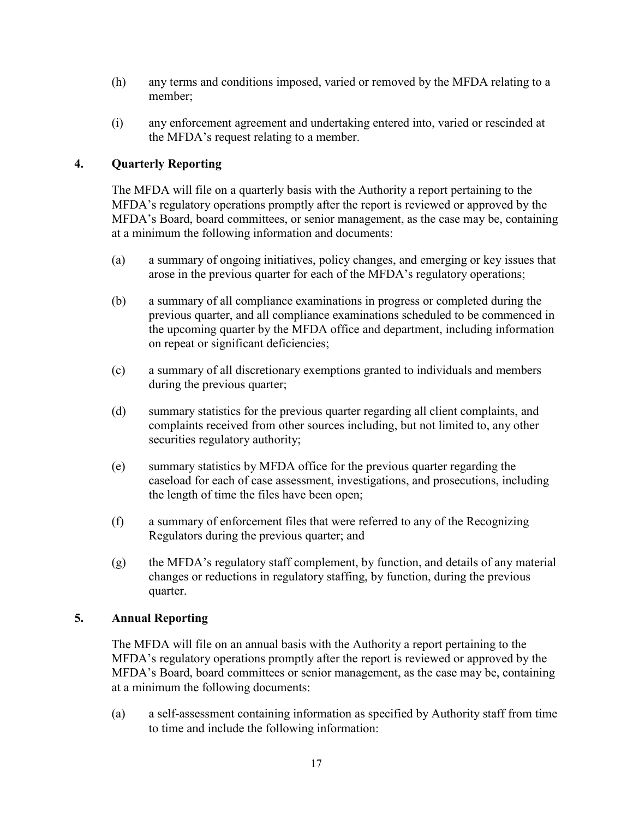- (h) any terms and conditions imposed, varied or removed by the MFDA relating to a member;
- (i) any enforcement agreement and undertaking entered into, varied or rescinded at the MFDA's request relating to a member.

# **4. Quarterly Reporting**

The MFDA will file on a quarterly basis with the Authority a report pertaining to the MFDA's regulatory operations promptly after the report is reviewed or approved by the MFDA's Board, board committees, or senior management, as the case may be, containing at a minimum the following information and documents:

- (a) a summary of ongoing initiatives, policy changes, and emerging or key issues that arose in the previous quarter for each of the MFDA's regulatory operations;
- (b) a summary of all compliance examinations in progress or completed during the previous quarter, and all compliance examinations scheduled to be commenced in the upcoming quarter by the MFDA office and department, including information on repeat or significant deficiencies;
- (c) a summary of all discretionary exemptions granted to individuals and members during the previous quarter;
- (d) summary statistics for the previous quarter regarding all client complaints, and complaints received from other sources including, but not limited to, any other securities regulatory authority;
- (e) summary statistics by MFDA office for the previous quarter regarding the caseload for each of case assessment, investigations, and prosecutions, including the length of time the files have been open;
- (f) a summary of enforcement files that were referred to any of the Recognizing Regulators during the previous quarter; and
- (g) the MFDA's regulatory staff complement, by function, and details of any material changes or reductions in regulatory staffing, by function, during the previous quarter.

### **5. Annual Reporting**

The MFDA will file on an annual basis with the Authority a report pertaining to the MFDA's regulatory operations promptly after the report is reviewed or approved by the MFDA's Board, board committees or senior management, as the case may be, containing at a minimum the following documents:

(a) a self-assessment containing information as specified by Authority staff from time to time and include the following information: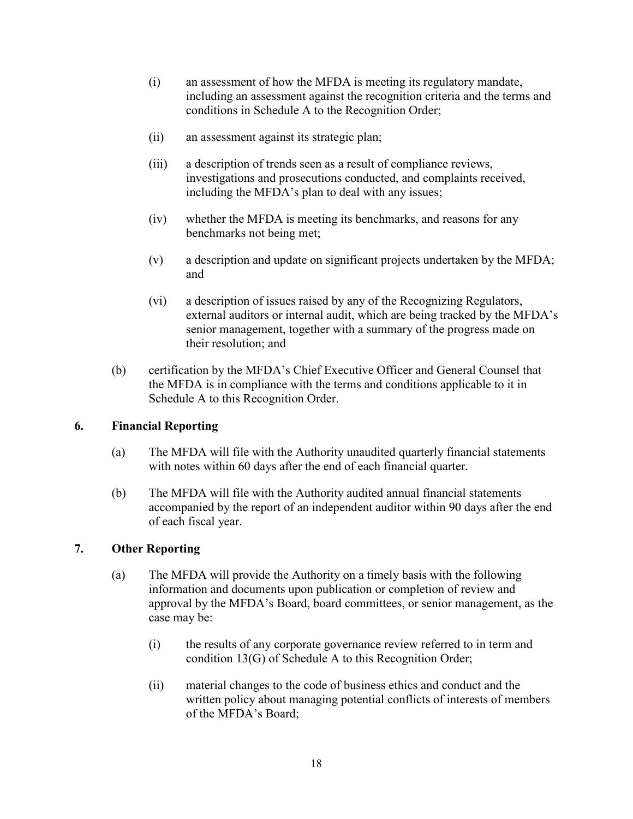- (i) an assessment of how the MFDA is meeting its regulatory mandate, including an assessment against the recognition criteria and the terms and conditions in Schedule A to the Recognition Order;
- (ii) an assessment against its strategic plan;
- (iii) a description of trends seen as a result of compliance reviews, investigations and prosecutions conducted, and complaints received, including the MFDA's plan to deal with any issues;
- (iv) whether the MFDA is meeting its benchmarks, and reasons for any benchmarks not being met;
- (v) a description and update on significant projects undertaken by the MFDA; and
- (vi) a description of issues raised by any of the Recognizing Regulators, external auditors or internal audit, which are being tracked by the MFDA's senior management, together with a summary of the progress made on their resolution; and
- (b) certification by the MFDA's Chief Executive Officer and General Counsel that the MFDA is in compliance with the terms and conditions applicable to it in Schedule A to this Recognition Order.

# **6. Financial Reporting**

- (a) The MFDA will file with the Authority unaudited quarterly financial statements with notes within 60 days after the end of each financial quarter.
- (b) The MFDA will file with the Authority audited annual financial statements accompanied by the report of an independent auditor within 90 days after the end of each fiscal year.

# **7. Other Reporting**

- (a) The MFDA will provide the Authority on a timely basis with the following information and documents upon publication or completion of review and approval by the MFDA's Board, board committees, or senior management, as the case may be:
	- (i) the results of any corporate governance review referred to in term and condition 13(G) of Schedule A to this Recognition Order;
	- (ii) material changes to the code of business ethics and conduct and the written policy about managing potential conflicts of interests of members of the MFDA's Board;